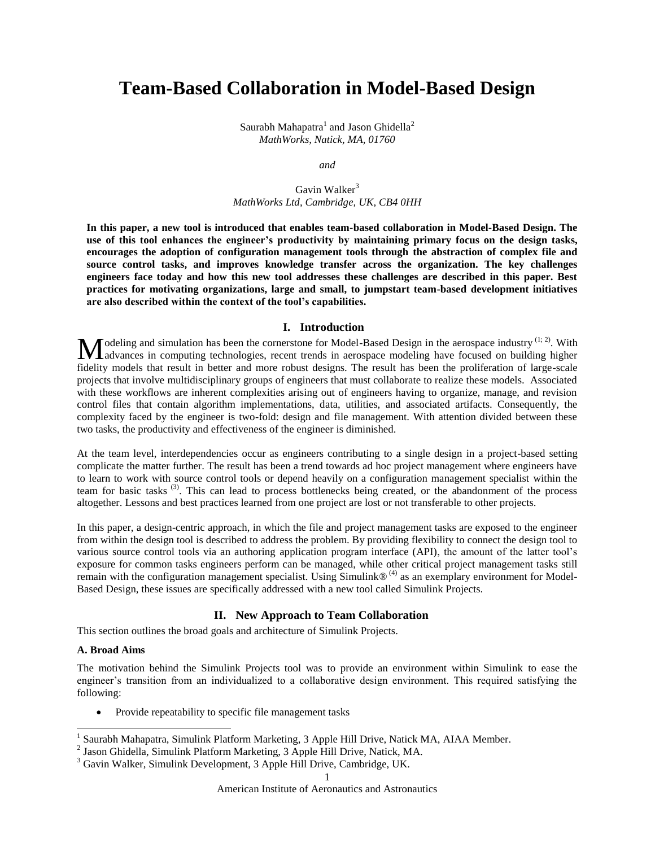# **Team-Based Collaboration in Model-Based Design**

Saurabh Mahapatra $^1$  and Jason Ghidella<sup>2</sup> *MathWorks, Natick, MA, 01760*

*and*

Gavin Walker $3$ *MathWorks Ltd, Cambridge, UK, CB4 0HH*

**In this paper, a new tool is introduced that enables team-based collaboration in Model-Based Design. The use of this tool enhances the engineer's productivity by maintaining primary focus on the design tasks, encourages the adoption of configuration management tools through the abstraction of complex file and source control tasks, and improves knowledge transfer across the organization. The key challenges engineers face today and how this new tool addresses these challenges are described in this paper. Best practices for motivating organizations, large and small, to jumpstart team-based development initiatives are also described within the context of the tool's capabilities.**

#### **I. Introduction**

odeling and simulation has been the cornerstone for Model-Based Design in the aerospace industry <sup>(1, 2)</sup>. With advances in computing technologies, recent trends in aerospace modeling have focused on building higher Modeling and simulation has been the cornerstone for Model-Based Design in the aerospace industry (1; 2). With advances in computing technologies, recent trends in aerospace modeling have focused on building higher fidelit projects that involve multidisciplinary groups of engineers that must collaborate to realize these models. Associated with these workflows are inherent complexities arising out of engineers having to organize, manage, and revision control files that contain algorithm implementations, data, utilities, and associated artifacts. Consequently, the complexity faced by the engineer is two-fold: design and file management. With attention divided between these two tasks, the productivity and effectiveness of the engineer is diminished.

At the team level, interdependencies occur as engineers contributing to a single design in a project-based setting complicate the matter further. The result has been a trend towards ad hoc project management where engineers have to learn to work with source control tools or depend heavily on a configuration management specialist within the team for basic tasks (3). This can lead to process bottlenecks being created, or the abandonment of the process altogether. Lessons and best practices learned from one project are lost or not transferable to other projects.

In this paper, a design-centric approach, in which the file and project management tasks are exposed to the engineer from within the design tool is described to address the problem. By providing flexibility to connect the design tool to various source control tools via an authoring application program interface (API), the amount of the latter tool's exposure for common tasks engineers perform can be managed, while other critical project management tasks still remain with the configuration management specialist. Using Simulink®<sup>(4)</sup> as an exemplary environment for Model-Based Design, these issues are specifically addressed with a new tool called Simulink Projects.

# **II. New Approach to Team Collaboration**

This section outlines the broad goals and architecture of Simulink Projects.

#### **A. Broad Aims**

The motivation behind the Simulink Projects tool was to provide an environment within Simulink to ease the engineer's transition from an individualized to a collaborative design environment. This required satisfying the following:

• Provide repeatability to specific file management tasks

 1 Saurabh Mahapatra, Simulink Platform Marketing, 3 Apple Hill Drive, Natick MA, AIAA Member.

<sup>2</sup> Jason Ghidella, Simulink Platform Marketing, 3 Apple Hill Drive, Natick, MA.

<sup>3</sup> Gavin Walker, Simulink Development, 3 Apple Hill Drive, Cambridge, UK.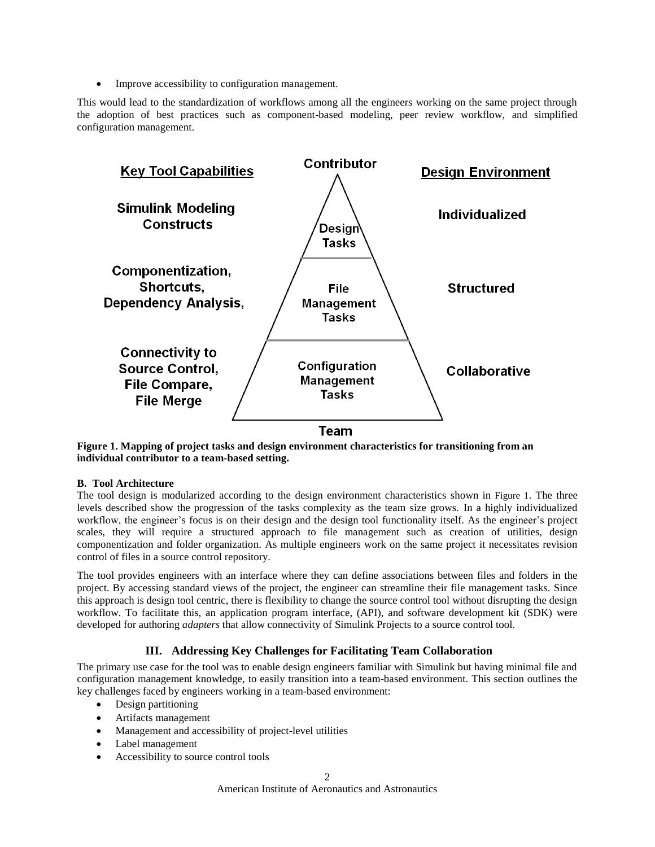• Improve accessibility to configuration management.

This would lead to the standardization of workflows among all the engineers working on the same project through the adoption of best practices such as component-based modeling, peer review workflow, and simplified configuration management.



<span id="page-1-0"></span>**Figure 1. Mapping of project tasks and design environment characteristics for transitioning from an individual contributor to a team-based setting.**

# **B. Tool Architecture**

The tool design is modularized according to the design environment characteristics shown in [Figure 1](#page-1-0). The three levels described show the progression of the tasks complexity as the team size grows. In a highly individualized workflow, the engineer's focus is on their design and the design tool functionality itself. As the engineer's project scales, they will require a structured approach to file management such as creation of utilities, design componentization and folder organization. As multiple engineers work on the same project it necessitates revision control of files in a source control repository.

The tool provides engineers with an interface where they can define associations between files and folders in the project. By accessing standard views of the project, the engineer can streamline their file management tasks. Since this approach is design tool centric, there is flexibility to change the source control tool without disrupting the design workflow. To facilitate this, an application program interface, (API), and software development kit (SDK) were developed for authoring *adapters* that allow connectivity of Simulink Projects to a source control tool.

# **III. Addressing Key Challenges for Facilitating Team Collaboration**

The primary use case for the tool was to enable design engineers familiar with Simulink but having minimal file and configuration management knowledge, to easily transition into a team-based environment. This section outlines the key challenges faced by engineers working in a team-based environment:

- Design partitioning
- Artifacts management
- Management and accessibility of project-level utilities
- Label management
- Accessibility to source control tools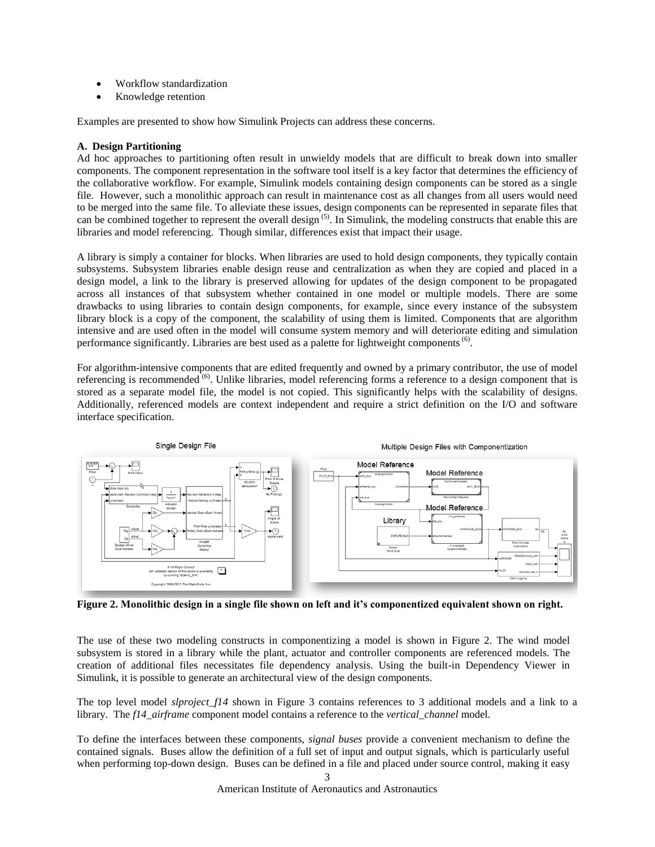- Workflow standardization
- Knowledge retention

Examples are presented to show how Simulink Projects can address these concerns.

#### **A. Design Partitioning**

Ad hoc approaches to partitioning often result in unwieldy models that are difficult to break down into smaller components. The component representation in the software tool itself is a key factor that determines the efficiency of the collaborative workflow. For example, Simulink models containing design components can be stored as a single file. However, such a monolithic approach can result in maintenance cost as all changes from all users would need to be merged into the same file. To alleviate these issues, design components can be represented in separate files that can be combined together to represent the overall design<sup>(5)</sup>. In Simulink, the modeling constructs that enable this are libraries and model referencing. Though similar, differences exist that impact their usage.

A library is simply a container for blocks. When libraries are used to hold design components, they typically contain subsystems. Subsystem libraries enable design reuse and centralization as when they are copied and placed in a design model, a link to the library is preserved allowing for updates of the design component to be propagated across all instances of that subsystem whether contained in one model or multiple models. There are some drawbacks to using libraries to contain design components, for example, since every instance of the subsystem library block is a copy of the component, the scalability of using them is limited. Components that are algorithm intensive and are used often in the model will consume system memory and will deteriorate editing and simulation performance significantly. Libraries are best used as a palette for lightweight components  $<sup>(6)</sup>$ .</sup>

For algorithm-intensive components that are edited frequently and owned by a primary contributor, the use of model referencing is recommended <sup>(6)</sup>. Unlike libraries, model referencing forms a reference to a design component that is stored as a separate model file, the model is not copied. This significantly helps with the scalability of designs. Additionally, referenced models are context independent and require a strict definition on the I/O and software interface specification.



<span id="page-2-0"></span>**Figure 2. Monolithic design in a single file shown on left and it's componentized equivalent shown on right.**

The use of these two modeling constructs in componentizing a model is shown in [Figure 2.](#page-2-0) The wind model subsystem is stored in a library while the plant, actuator and controller components are referenced models. The creation of additional files necessitates file dependency analysis. Using the built-in Dependency Viewer in Simulink, it is possible to generate an architectural view of the design components.

The top level model *slproject f14* shown in [Figure 3](#page-3-0) contains references to 3 additional models and a link to a library. The *f14\_airframe* component model contains a reference to the *vertical\_channel* model.

To define the interfaces between these components, *signal buses* provide a convenient mechanism to define the contained signals. Buses allow the definition of a full set of input and output signals, which is particularly useful when performing top-down design. Buses can be defined in a file and placed under source control, making it easy

American Institute of Aeronautics and Astronautics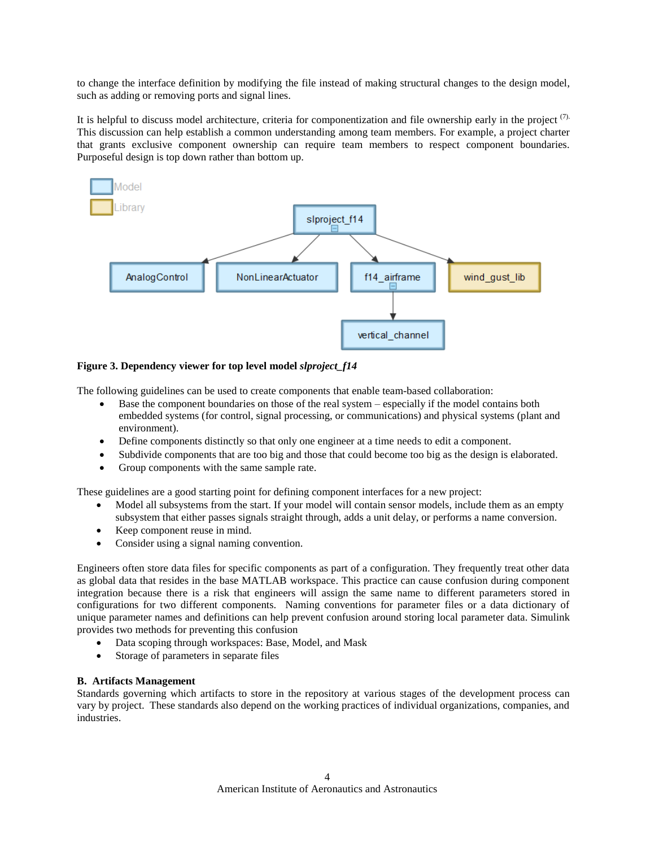to change the interface definition by modifying the file instead of making structural changes to the design model, such as adding or removing ports and signal lines.

It is helpful to discuss model architecture, criteria for componentization and file ownership early in the project  $(7)$ . This discussion can help establish a common understanding among team members. For example, a project charter that grants exclusive component ownership can require team members to respect component boundaries. Purposeful design is top down rather than bottom up.



# <span id="page-3-0"></span>**Figure 3. Dependency viewer for top level model** *slproject\_f14*

The following guidelines can be used to create components that enable team-based collaboration:

- Base the component boundaries on those of the real system especially if the model contains both embedded systems (for control, signal processing, or communications) and physical systems (plant and environment).
- Define components distinctly so that only one engineer at a time needs to edit a component.
- Subdivide components that are too big and those that could become too big as the design is elaborated.
- Group components with the same sample rate.

These guidelines are a good starting point for defining component interfaces for a new project:

- Model all subsystems from the start. If your model will contain sensor models, include them as an empty subsystem that either passes signals straight through, adds a unit delay, or performs a name conversion.
- Keep component reuse in mind.
- Consider using a signal naming convention.

Engineers often store data files for specific components as part of a configuration. They frequently treat other data as global data that resides in the base MATLAB workspace. This practice can cause confusion during component integration because there is a risk that engineers will assign the same name to different parameters stored in configurations for two different components. Naming conventions for parameter files or a data dictionary of unique parameter names and definitions can help prevent confusion around storing local parameter data. Simulink provides two methods for preventing this confusion

- Data scoping through workspaces: Base, Model, and Mask
- Storage of parameters in separate files

#### **B. Artifacts Management**

Standards governing which artifacts to store in the repository at various stages of the development process can vary by project. These standards also depend on the working practices of individual organizations, companies, and industries.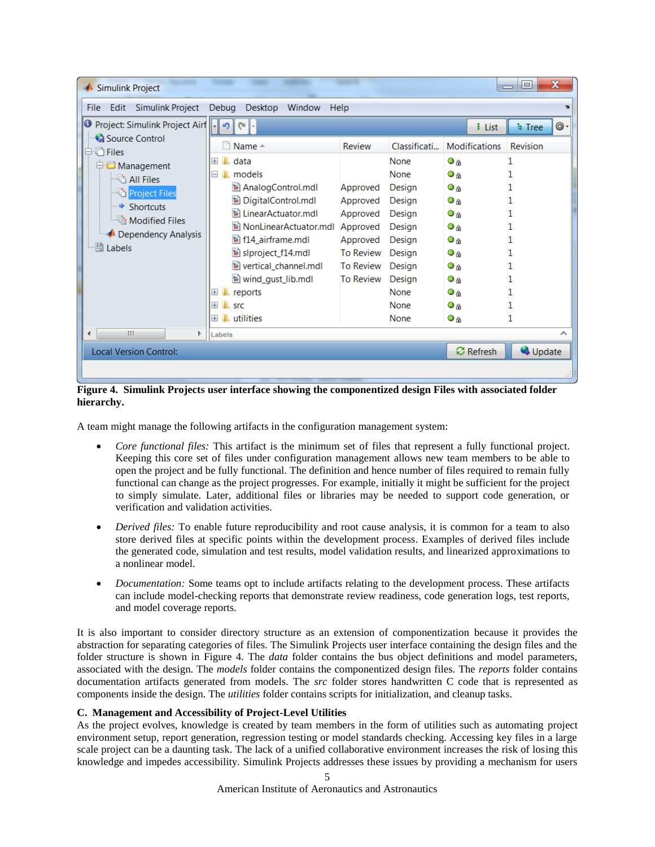| $\mathbf x$<br>$\Box$<br>$\overline{ }$<br><b>Simulink Project</b>                                                                                                                                                                                  |                               |                  |                          |                       |              |  |  |
|-----------------------------------------------------------------------------------------------------------------------------------------------------------------------------------------------------------------------------------------------------|-------------------------------|------------------|--------------------------|-----------------------|--------------|--|--|
| <b>Simulink Project</b><br>File<br>Edit                                                                                                                                                                                                             | Debug<br>Desktop<br>Window    | Help             |                          |                       | $\mathbf{v}$ |  |  |
| <b>O</b> Project: Simulink Project Airf<br>Source Control<br>⊕ ⊡ Files<br><b>D</b> Management<br>└ All Files<br>一 <mark>位</mark> Project Files<br>$\rightarrow$ Shortcuts<br><sup>□□</sup> Modified Files<br>Dependency Analysis<br><b>■ Labels</b> | $\alpha$ $\Box$<br>in.        | <b>E</b> List    | ⊙ -<br><sup>t</sup> Tree |                       |              |  |  |
|                                                                                                                                                                                                                                                     | Name $\triangle$              | <b>Review</b>    | Classificati             | <b>Modifications</b>  | Revision     |  |  |
|                                                                                                                                                                                                                                                     | data<br>ш<br>ΙŦ               |                  | None                     | O۵                    | 1            |  |  |
|                                                                                                                                                                                                                                                     | models<br>u.<br>$\Box$        |                  | <b>None</b>              | ٥a                    |              |  |  |
|                                                                                                                                                                                                                                                     | AnalogControl.mdl             | Approved         | Design                   | O۵                    |              |  |  |
|                                                                                                                                                                                                                                                     | DigitalControl.mdl<br>籣       | Approved         | Design                   | O۵                    |              |  |  |
|                                                                                                                                                                                                                                                     | LinearActuator.mdl<br>ы       | Approved         | Design                   | O۵                    |              |  |  |
|                                                                                                                                                                                                                                                     | NonLinearActuator.mdl<br>m    | Approved         | Design                   | ٥a                    |              |  |  |
|                                                                                                                                                                                                                                                     | 图 f14_airframe.mdl            | Approved         | Design                   | ⊙⋒                    |              |  |  |
|                                                                                                                                                                                                                                                     | slproject_f14.mdl             | To Review        | Design                   | O۵                    |              |  |  |
|                                                                                                                                                                                                                                                     | vertical_channel.mdl<br>Ы     | To Review        | Design                   | ۵۵                    |              |  |  |
|                                                                                                                                                                                                                                                     | wind_gust_lib.mdl             | <b>To Review</b> | Design                   | O۵                    |              |  |  |
|                                                                                                                                                                                                                                                     | reports<br>u.<br>Œ.           |                  | <b>None</b>              | ٥a                    |              |  |  |
|                                                                                                                                                                                                                                                     | u.<br>Æ<br><b>Src</b>         |                  | None                     | O۵                    |              |  |  |
|                                                                                                                                                                                                                                                     | $\boxplus$ <b>I</b> utilities |                  | None                     | ٥a                    |              |  |  |
| HH.<br>∢<br>Þ.                                                                                                                                                                                                                                      | Labels                        |                  |                          |                       | ⋏            |  |  |
| <b>Local Version Control:</b>                                                                                                                                                                                                                       |                               |                  |                          | $\mathfrak S$ Refresh | Update       |  |  |
|                                                                                                                                                                                                                                                     |                               |                  |                          |                       |              |  |  |

<span id="page-4-0"></span>**Figure 4. Simulink Projects user interface showing the componentized design Files with associated folder hierarchy.**

A team might manage the following artifacts in the configuration management system:

- *Core functional files:* This artifact is the minimum set of files that represent a fully functional project. Keeping this core set of files under configuration management allows new team members to be able to open the project and be fully functional. The definition and hence number of files required to remain fully functional can change as the project progresses. For example, initially it might be sufficient for the project to simply simulate. Later, additional files or libraries may be needed to support code generation, or verification and validation activities.
- *Derived files:* To enable future reproducibility and root cause analysis, it is common for a team to also store derived files at specific points within the development process. Examples of derived files include the generated code, simulation and test results, model validation results, and linearized approximations to a nonlinear model.
- *Documentation:* Some teams opt to include artifacts relating to the development process. These artifacts can include model-checking reports that demonstrate review readiness, code generation logs, test reports, and model coverage reports.

It is also important to consider directory structure as an extension of componentization because it provides the abstraction for separating categories of files. The Simulink Projects user interface containing the design files and the folder structure is shown in [Figure 4.](#page-4-0) The *data* folder contains the bus object definitions and model parameters, associated with the design. The *models* folder contains the componentized design files. The *reports* folder contains documentation artifacts generated from models. The *src* folder stores handwritten C code that is represented as components inside the design. The *utilities* folder contains scripts for initialization, and cleanup tasks.

# **C. Management and Accessibility of Project-Level Utilities**

As the project evolves, knowledge is created by team members in the form of utilities such as automating project environment setup, report generation, regression testing or model standards checking. Accessing key files in a large scale project can be a daunting task. The lack of a unified collaborative environment increases the risk of losing this knowledge and impedes accessibility. Simulink Projects addresses these issues by providing a mechanism for users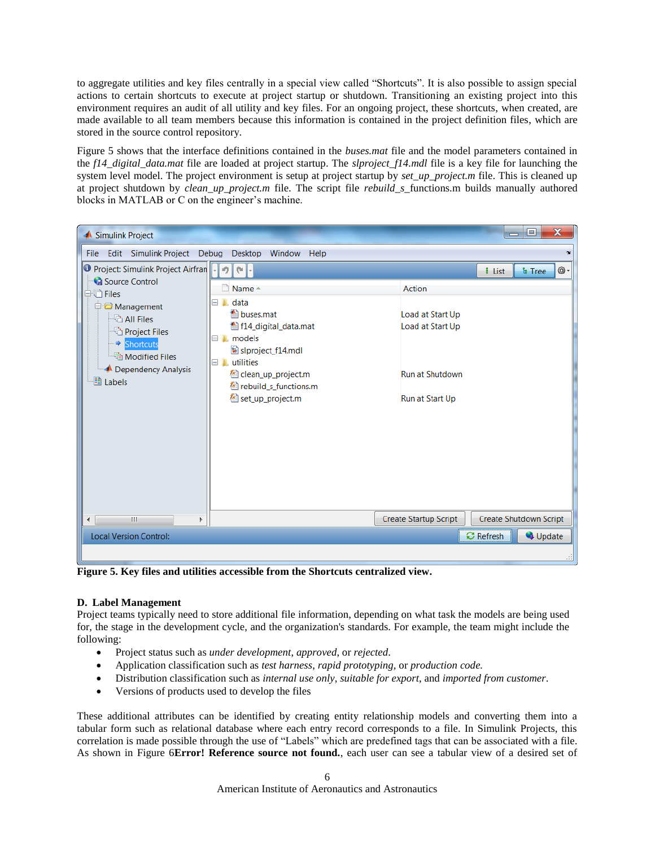to aggregate utilities and key files centrally in a special view called "Shortcuts". It is also possible to assign special actions to certain shortcuts to execute at project startup or shutdown. Transitioning an existing project into this environment requires an audit of all utility and key files. For an ongoing project, these shortcuts, when created, are made available to all team members because this information is contained in the project definition files, which are stored in the source control repository.

[Figure 5](#page-5-0) shows that the interface definitions contained in the *buses.mat* file and the model parameters contained in the *f14\_digital\_data.mat* file are loaded at project startup. The *slproject\_f14.mdl* file is a key file for launching the system level model. The project environment is setup at project startup by *set\_up\_project.m* file. This is cleaned up at project shutdown by *clean\_up\_project.m* file. The script file *rebuild\_s\_*functions.m builds manually authored blocks in MATLAB or C on the engineer's machine.



**Figure 5. Key files and utilities accessible from the Shortcuts centralized view.**

# <span id="page-5-0"></span>**D. Label Management**

Project teams typically need to store additional file information, depending on what task the models are being used for, the stage in the development cycle, and the organization's standards. For example, the team might include the following:

- Project status such as *under development*, *approved*, or *rejected*.
- Application classification such as *test harness*, *rapid prototyping,* or *production code.*
- Distribution classification such as *internal use only*, *suitable for export*, and *imported from customer*.
- Versions of products used to develop the files

These additional attributes can be identified by creating entity relationship models and converting them into a tabular form such as relational database where each entry record corresponds to a file. In Simulink Projects, this correlation is made possible through the use of "Labels" which are predefined tags that can be associated with a file. As shown in [Figure 6](#page-6-0)**[Error! Reference source not found.](#page-6-0)**, each user can see a tabular view of a desired set of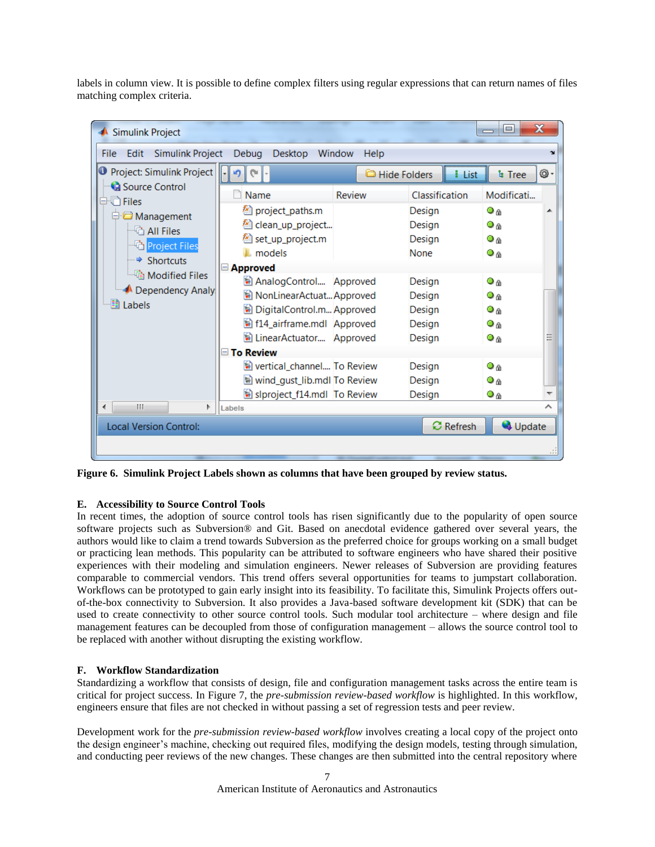labels in column view. It is possible to define complex filters using regular expressions that can return names of files matching complex criteria.

| <b>Simulink Project</b>                 |                                       |                |                       | $\mathbf x$<br>E    |     |
|-----------------------------------------|---------------------------------------|----------------|-----------------------|---------------------|-----|
| File<br><b>Simulink Project</b><br>Edit | Debug<br><b>Desktop</b>               | Window<br>Help |                       |                     | м   |
| <b>O</b> Project: Simulink Project      | Q.<br>un.                             | Hide Folders   | H<br>List             | <sup>្</sup> ន Tree | ⊚ - |
| <b>Ca</b> Source Control<br>□ □ Files   | Name                                  | <b>Review</b>  | Classification        | Modificati          |     |
| <b>O</b> Management                     | 图 project_paths.m                     |                | Design                | ⊙ ⊕                 |     |
| ┈  All Files                            | 鳌 clean_up_project                    |                | Design                | O۵                  |     |
| <sub>■</sub> Project Files              | 图 set_up_project.m                    |                | Design                | O۵                  |     |
| $\rightarrow$ Shortcuts                 | <b>I</b> models                       |                | None                  | ◕⋒                  |     |
| <sup>……</sup> Modified Files            | $\blacksquare$ Approved               |                |                       |                     |     |
| Dependency Analy                        | AnalogControl Approved                |                | Desian                | O۵                  |     |
| · Labels                                | NonLinearActuat Approved<br>H         |                | Desian                | O۵                  |     |
|                                         | iii DigitalControl.m Approved         |                | Design                | O۵                  |     |
|                                         | 14_airframe.mdl Approved              |                | Design                | O۵                  |     |
|                                         | la LinearActuator Approved            |                | Design                | ٥a                  | Ξ   |
|                                         | $\equiv$ To Review                    |                |                       |                     |     |
|                                         | vertical_channel To Review            |                | Design                | O۵                  |     |
|                                         | in wind_gust_lib.mdl To Review        |                | Design                | O۵                  |     |
| Ш                                       | siproject_f14.mdl To Review<br>Labels |                | Design                | ◑⋒                  | ᄉ   |
|                                         |                                       |                |                       |                     |     |
| <b>Local Version Control:</b>           |                                       |                | $\mathfrak S$ Refresh | Update              |     |
|                                         |                                       |                |                       |                     |     |
|                                         |                                       |                |                       |                     |     |

<span id="page-6-0"></span>**Figure 6. Simulink Project Labels shown as columns that have been grouped by review status.**

# **E. Accessibility to Source Control Tools**

In recent times, the adoption of source control tools has risen significantly due to the popularity of open source software projects such as Subversion® and Git. Based on anecdotal evidence gathered over several years, the authors would like to claim a trend towards Subversion as the preferred choice for groups working on a small budget or practicing lean methods. This popularity can be attributed to software engineers who have shared their positive experiences with their modeling and simulation engineers. Newer releases of Subversion are providing features comparable to commercial vendors. This trend offers several opportunities for teams to jumpstart collaboration. Workflows can be prototyped to gain early insight into its feasibility. To facilitate this, Simulink Projects offers outof-the-box connectivity to Subversion. It also provides a Java-based software development kit (SDK) that can be used to create connectivity to other source control tools. Such modular tool architecture – where design and file management features can be decoupled from those of configuration management – allows the source control tool to be replaced with another without disrupting the existing workflow.

# **F. Workflow Standardization**

Standardizing a workflow that consists of design, file and configuration management tasks across the entire team is critical for project success. In [Figure 7,](#page-7-0) the *pre-submission review-based workflow* is highlighted. In this workflow, engineers ensure that files are not checked in without passing a set of regression tests and peer review.

Development work for the *pre-submission review-based workflow* involves creating a local copy of the project onto the design engineer's machine, checking out required files, modifying the design models, testing through simulation, and conducting peer reviews of the new changes. These changes are then submitted into the central repository where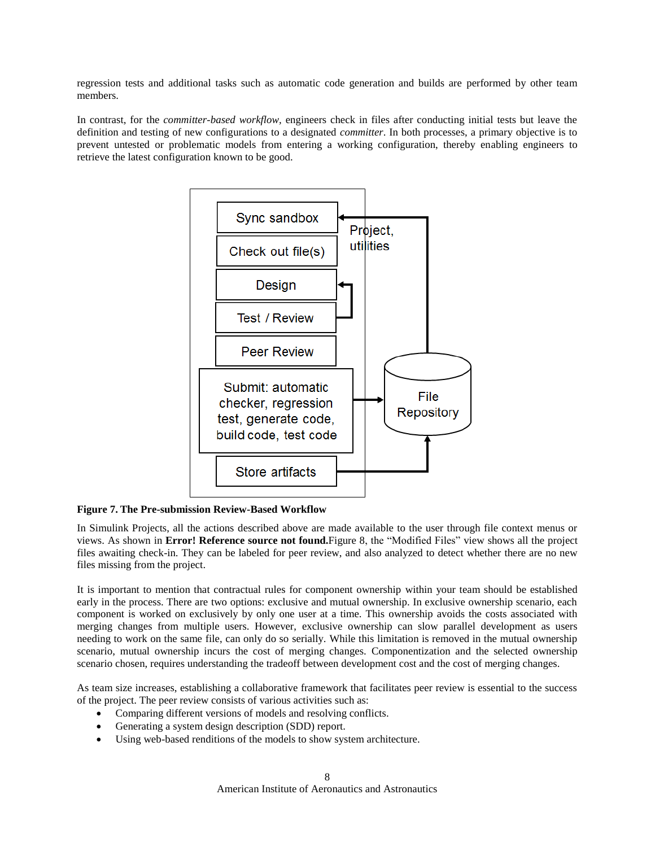regression tests and additional tasks such as automatic code generation and builds are performed by other team members.

In contrast, for the *committer-based workflow,* engineers check in files after conducting initial tests but leave the definition and testing of new configurations to a designated *committer*. In both processes, a primary objective is to prevent untested or problematic models from entering a working configuration, thereby enabling engineers to retrieve the latest configuration known to be good.



<span id="page-7-0"></span>**Figure 7. The Pre-submission Review-Based Workflow** 

In Simulink Projects, all the actions described above are made available to the user through file context menus or views. As shown in **Error! Reference source not found.**[Figure 8,](#page-8-0) the "Modified Files" view shows all the project files awaiting check-in. They can be labeled for peer review, and also analyzed to detect whether there are no new files missing from the project.

It is important to mention that contractual rules for component ownership within your team should be established early in the process. There are two options: exclusive and mutual ownership. In exclusive ownership scenario, each component is worked on exclusively by only one user at a time. This ownership avoids the costs associated with merging changes from multiple users. However, exclusive ownership can slow parallel development as users needing to work on the same file, can only do so serially. While this limitation is removed in the mutual ownership scenario, mutual ownership incurs the cost of merging changes. Componentization and the selected ownership scenario chosen, requires understanding the tradeoff between development cost and the cost of merging changes.

As team size increases, establishing a collaborative framework that facilitates peer review is essential to the success of the project. The peer review consists of various activities such as:

- Comparing different versions of models and resolving conflicts.
- Generating a system design description (SDD) report.
- Using web-based renditions of the models to show system architecture.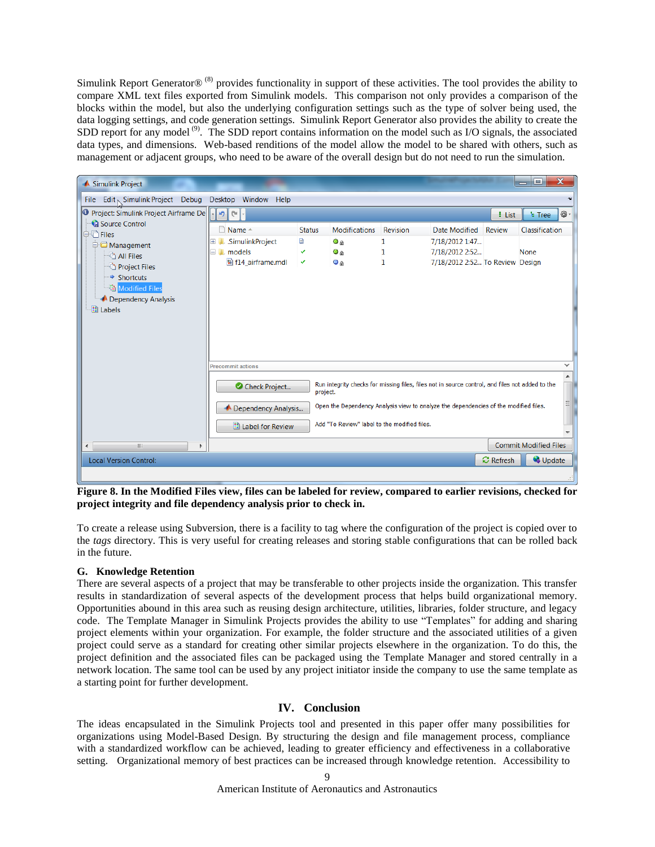Simulink Report Generator®<sup>(8)</sup> provides functionality in support of these activities. The tool provides the ability to compare XML text files exported from Simulink models. This comparison not only provides a comparison of the blocks within the model, but also the underlying configuration settings such as the type of solver being used, the data logging settings, and code generation settings. Simulink Report Generator also provides the ability to create the SDD report for any model<sup>(9)</sup>. The SDD report contains information on the model such as I/O signals, the associated data types, and dimensions. Web-based renditions of the model allow the model to be shared with others, such as management or adjacent groups, who need to be aware of the overall design but do not need to run the simulation.

| Simulink Project                                                                                                                                                                                                                         |                                                                                                                                                                                                              |               |                             |                 |                                                                     |           | e<br>$\overline{\phantom{0}}$ | $\mathbf x$  |
|------------------------------------------------------------------------------------------------------------------------------------------------------------------------------------------------------------------------------------------|--------------------------------------------------------------------------------------------------------------------------------------------------------------------------------------------------------------|---------------|-----------------------------|-----------------|---------------------------------------------------------------------|-----------|-------------------------------|--------------|
| File Edit Simulink Project Debug Desktop Window Help                                                                                                                                                                                     |                                                                                                                                                                                                              |               |                             |                 |                                                                     |           |                               | $\mathbf{u}$ |
| <b>O</b> Project: Simulink Project Airframe De<br><b>Ca</b> Source Control<br>白いFiles<br><b>D</b> Management<br><b>G</b> All Files<br><sup>-</sup> Project Files<br>→ Shortcuts<br>· The Modified Files<br>Dependency Analysis<br>Labels | $90^\circ$<br><b>t</b> Tree<br><b>E</b> List                                                                                                                                                                 |               |                             |                 |                                                                     |           | ⊚ -                           |              |
|                                                                                                                                                                                                                                          | $\Box$ Name $\triangle$                                                                                                                                                                                      | <b>Status</b> | <b>Modifications</b>        | <b>Revision</b> | Date Modified                                                       | Review    | Classification                |              |
|                                                                                                                                                                                                                                          | SimulinkProject<br>F.<br>$\Box$ models<br>14 airframe.mdl                                                                                                                                                    | B<br>✓<br>v   | 0a<br>O۵<br>O <sub>th</sub> | 1<br>1<br>1     | 7/18/2012 1:47<br>7/18/2012 2:52<br>7/18/2012 2:52 To Review Design |           | None                          |              |
|                                                                                                                                                                                                                                          | <b>Precommit actions</b><br>Run integrity checks for missing files, files not in source control, and files not added to the                                                                                  |               |                             |                 |                                                                     |           | $\checkmark$<br>×.            |              |
|                                                                                                                                                                                                                                          | Check Project<br>project.<br>Open the Dependency Analysis view to analyze the dependencies of the modified files.<br>Dependency Analysis<br>Add "To Review" label to the modified files.<br>Label for Review |               |                             |                 |                                                                     |           | Ξ                             |              |
| $\pm 11$<br>Þ<br>∢                                                                                                                                                                                                                       |                                                                                                                                                                                                              |               |                             |                 |                                                                     |           | <b>Commit Modified Files</b>  |              |
| <b>Local Version Control:</b>                                                                                                                                                                                                            |                                                                                                                                                                                                              |               |                             |                 |                                                                     | C Refresh | Update                        |              |
|                                                                                                                                                                                                                                          |                                                                                                                                                                                                              |               |                             |                 |                                                                     |           |                               |              |

<span id="page-8-0"></span>**Figure 8. In the Modified Files view, files can be labeled for review, compared to earlier revisions, checked for project integrity and file dependency analysis prior to check in.**

To create a release using Subversion, there is a facility to tag where the configuration of the project is copied over to the *tags* directory. This is very useful for creating releases and storing stable configurations that can be rolled back in the future.

# **G. Knowledge Retention**

There are several aspects of a project that may be transferable to other projects inside the organization. This transfer results in standardization of several aspects of the development process that helps build organizational memory. Opportunities abound in this area such as reusing design architecture, utilities, libraries, folder structure, and legacy code. The Template Manager in Simulink Projects provides the ability to use "Templates" for adding and sharing project elements within your organization. For example, the folder structure and the associated utilities of a given project could serve as a standard for creating other similar projects elsewhere in the organization. To do this, the project definition and the associated files can be packaged using the Template Manager and stored centrally in a network location. The same tool can be used by any project initiator inside the company to use the same template as a starting point for further development.

# **IV. Conclusion**

The ideas encapsulated in the Simulink Projects tool and presented in this paper offer many possibilities for organizations using Model-Based Design. By structuring the design and file management process, compliance with a standardized workflow can be achieved, leading to greater efficiency and effectiveness in a collaborative setting. Organizational memory of best practices can be increased through knowledge retention. Accessibility to

#### 9

American Institute of Aeronautics and Astronautics